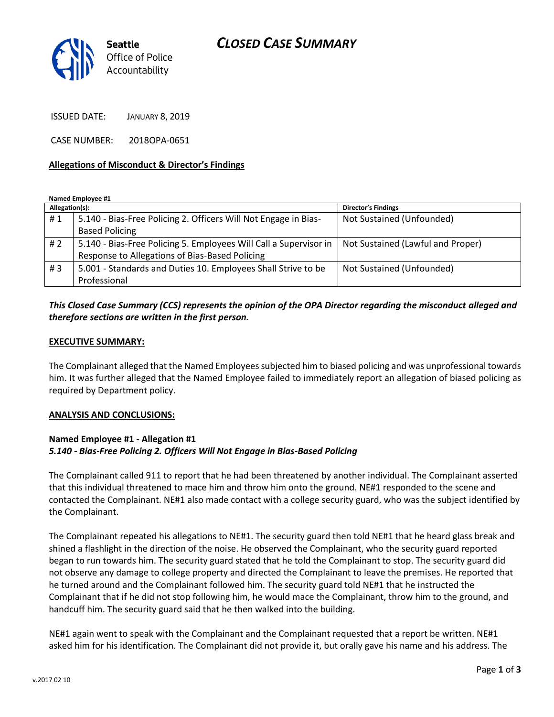## *CLOSED CASE SUMMARY*



ISSUED DATE: JANUARY 8, 2019

CASE NUMBER: 2018OPA-0651

### **Allegations of Misconduct & Director's Findings**

**Named Employee #1**

| Allegation(s): |                                                                   | <b>Director's Findings</b>        |
|----------------|-------------------------------------------------------------------|-----------------------------------|
| #1             | 5.140 - Bias-Free Policing 2. Officers Will Not Engage in Bias-   | Not Sustained (Unfounded)         |
|                | <b>Based Policing</b>                                             |                                   |
| # $2$          | 5.140 - Bias-Free Policing 5. Employees Will Call a Supervisor in | Not Sustained (Lawful and Proper) |
|                | Response to Allegations of Bias-Based Policing                    |                                   |
| #3             | 5.001 - Standards and Duties 10. Employees Shall Strive to be     | Not Sustained (Unfounded)         |
|                | Professional                                                      |                                   |

## *This Closed Case Summary (CCS) represents the opinion of the OPA Director regarding the misconduct alleged and therefore sections are written in the first person.*

#### **EXECUTIVE SUMMARY:**

The Complainant alleged that the Named Employees subjected him to biased policing and was unprofessional towards him. It was further alleged that the Named Employee failed to immediately report an allegation of biased policing as required by Department policy.

#### **ANALYSIS AND CONCLUSIONS:**

### **Named Employee #1 - Allegation #1** *5.140 - Bias-Free Policing 2. Officers Will Not Engage in Bias-Based Policing*

The Complainant called 911 to report that he had been threatened by another individual. The Complainant asserted that this individual threatened to mace him and throw him onto the ground. NE#1 responded to the scene and contacted the Complainant. NE#1 also made contact with a college security guard, who was the subject identified by the Complainant.

The Complainant repeated his allegations to NE#1. The security guard then told NE#1 that he heard glass break and shined a flashlight in the direction of the noise. He observed the Complainant, who the security guard reported began to run towards him. The security guard stated that he told the Complainant to stop. The security guard did not observe any damage to college property and directed the Complainant to leave the premises. He reported that he turned around and the Complainant followed him. The security guard told NE#1 that he instructed the Complainant that if he did not stop following him, he would mace the Complainant, throw him to the ground, and handcuff him. The security guard said that he then walked into the building.

NE#1 again went to speak with the Complainant and the Complainant requested that a report be written. NE#1 asked him for his identification. The Complainant did not provide it, but orally gave his name and his address. The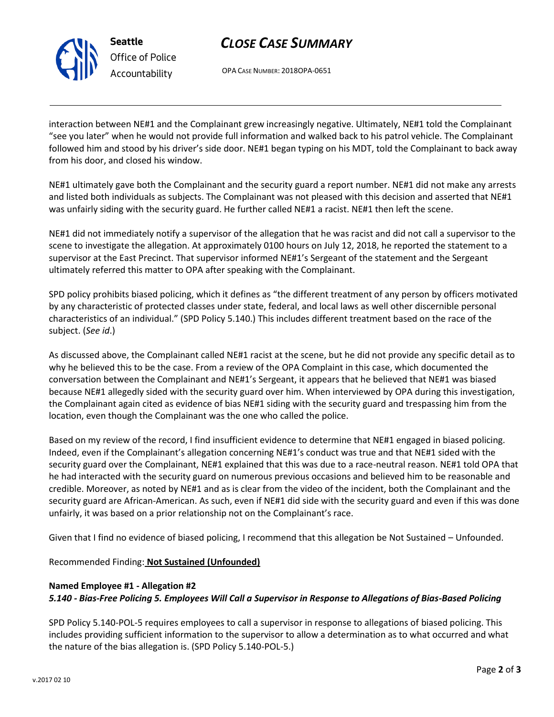

# *CLOSE CASE SUMMARY*

OPA CASE NUMBER: 2018OPA-0651

interaction between NE#1 and the Complainant grew increasingly negative. Ultimately, NE#1 told the Complainant "see you later" when he would not provide full information and walked back to his patrol vehicle. The Complainant followed him and stood by his driver's side door. NE#1 began typing on his MDT, told the Complainant to back away from his door, and closed his window.

NE#1 ultimately gave both the Complainant and the security guard a report number. NE#1 did not make any arrests and listed both individuals as subjects. The Complainant was not pleased with this decision and asserted that NE#1 was unfairly siding with the security guard. He further called NE#1 a racist. NE#1 then left the scene.

NE#1 did not immediately notify a supervisor of the allegation that he was racist and did not call a supervisor to the scene to investigate the allegation. At approximately 0100 hours on July 12, 2018, he reported the statement to a supervisor at the East Precinct. That supervisor informed NE#1's Sergeant of the statement and the Sergeant ultimately referred this matter to OPA after speaking with the Complainant.

SPD policy prohibits biased policing, which it defines as "the different treatment of any person by officers motivated by any characteristic of protected classes under state, federal, and local laws as well other discernible personal characteristics of an individual." (SPD Policy 5.140.) This includes different treatment based on the race of the subject. (*See id*.)

As discussed above, the Complainant called NE#1 racist at the scene, but he did not provide any specific detail as to why he believed this to be the case. From a review of the OPA Complaint in this case, which documented the conversation between the Complainant and NE#1's Sergeant, it appears that he believed that NE#1 was biased because NE#1 allegedly sided with the security guard over him. When interviewed by OPA during this investigation, the Complainant again cited as evidence of bias NE#1 siding with the security guard and trespassing him from the location, even though the Complainant was the one who called the police.

Based on my review of the record, I find insufficient evidence to determine that NE#1 engaged in biased policing. Indeed, even if the Complainant's allegation concerning NE#1's conduct was true and that NE#1 sided with the security guard over the Complainant, NE#1 explained that this was due to a race-neutral reason. NE#1 told OPA that he had interacted with the security guard on numerous previous occasions and believed him to be reasonable and credible. Moreover, as noted by NE#1 and as is clear from the video of the incident, both the Complainant and the security guard are African-American. As such, even if NE#1 did side with the security guard and even if this was done unfairly, it was based on a prior relationship not on the Complainant's race.

Given that I find no evidence of biased policing, I recommend that this allegation be Not Sustained – Unfounded.

Recommended Finding: **Not Sustained (Unfounded)**

### **Named Employee #1 - Allegation #2**

*5.140 - Bias-Free Policing 5. Employees Will Call a Supervisor in Response to Allegations of Bias-Based Policing*

SPD Policy 5.140-POL-5 requires employees to call a supervisor in response to allegations of biased policing. This includes providing sufficient information to the supervisor to allow a determination as to what occurred and what the nature of the bias allegation is. (SPD Policy 5.140-POL-5.)